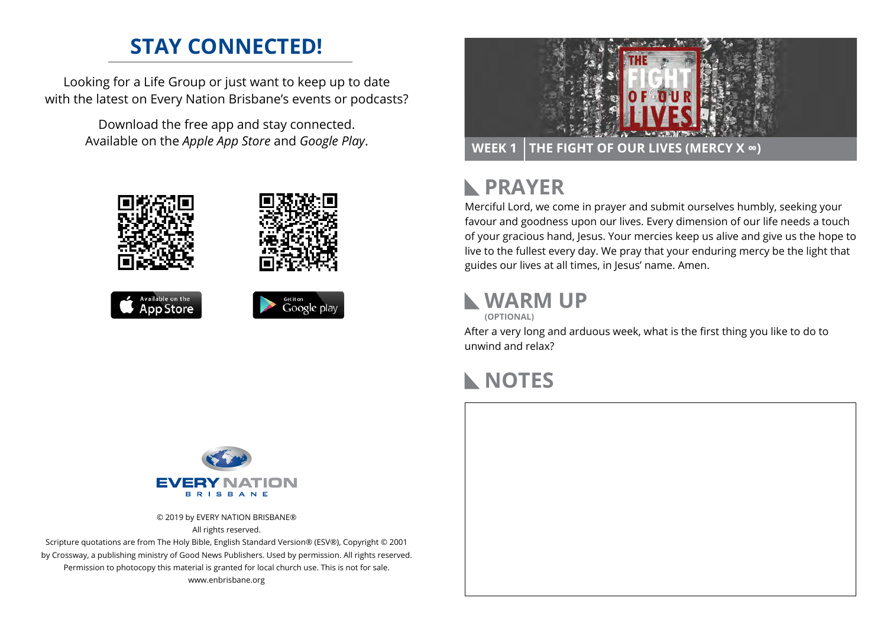### **STAY CONNECTED!**

Looking for a Life Group or just want to keep up to date with the latest on Every Nation Brisbane's events or podcasts?

> Download the free app and stay connected. Available on the *Apple App Store* and *Google Play*.









#### **PRAYER**  $\mathbb{R}$

Merciful Lord, we come in prayer and submit ourselves humbly, seeking your favour and goodness upon our lives. Every dimension of our life needs a touch of your gracious hand, Jesus. Your mercies keep us alive and give us the hope to live to the fullest every day. We pray that your enduring mercy be the light that guides our lives at all times, in Jesus' name. Amen.

# **WARM UP**

**(OPTIONAL)**

After a very long and arduous week, what is the first thing you like to do to unwind and relax?

#### **NOTES**



© 2019 by EVERY NATION BRISBANE® All rights reserved.

Scripture quotations are from The Holy Bible, English Standard Version® (ESV®), Copyright © 2001 by Crossway, a publishing ministry of Good News Publishers. Used by permission. All rights reserved. Permission to photocopy this material is granted for local church use. This is not for sale. www.enbrisbane.org